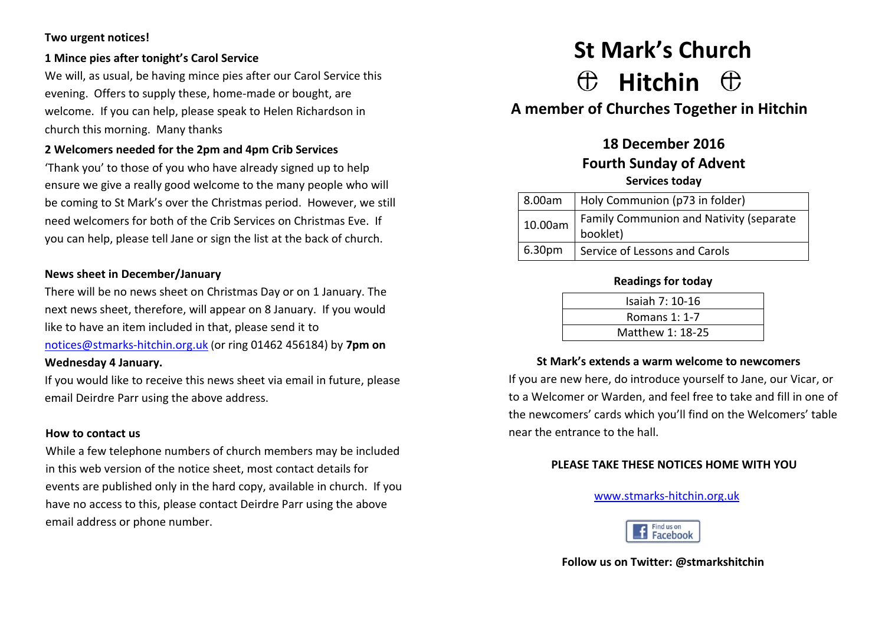### **Two urgent notices!**

## **1 Mince pies after tonight's Carol Service**

We will, as usual, be having mince pies after our Carol Service this evening. Offers to supply these, home-made or bought, are welcome. If you can help, please speak to Helen Richardson in church this morning. Many thanks

## **2 Welcomers needed for the 2pm and 4pm Crib Services**

'Thank you' to those of you who have already signed up to help ensure we give a really good welcome to the many people who will be coming to St Mark's over the Christmas period. However, we still need welcomers for both of the Crib Services on Christmas Eve. If you can help, please tell Jane or sign the list at the back of church.

### **News sheet in December/January**

There will be no news sheet on Christmas Day or on 1 January. The next news sheet, therefore, will appear on 8 January. If you would like to have an item included in that, please send it to [notices@stmarks-hitchin.org.uk](mailto:notices@stmarks-hitchin.org.uk) (or ring 01462 456184) by **7pm on Wednesday 4 January.**

If you would like to receive this news sheet via email in future, please email Deirdre Parr using the above address.

#### **How to contact us**

While a few telephone numbers of church members may be included in this web version of the notice sheet, most contact details for events are published only in the hard copy, available in church. If you have no access to this, please contact Deirdre Parr using the above email address or phone number.

# **St Mark's Church Hitchin**

**A member of Churches Together in Hitchin**

## **18 December 2016 Fourth Sunday of Advent Services today**

|  |                    | 8.00am   Holy Communion (p73 in folder) |
|--|--------------------|-----------------------------------------|
|  | 10.00am            | Family Communion and Nativity (separate |
|  |                    | booklet)                                |
|  | 6.30 <sub>pm</sub> | Service of Lessons and Carols           |

#### **Readings for today**

| Isaiah 7: 10-16  |  |
|------------------|--|
| Romans 1: 1-7    |  |
| Matthew 1: 18-25 |  |

## **St Mark's extends a warm welcome to newcomers**

If you are new here, do introduce yourself to Jane, our Vicar, or to a Welcomer or Warden, and feel free to take and fill in one of the newcomers' cards which you'll find on the Welcomers' table near the entrance to the hall.

## **PLEASE TAKE THESE NOTICES HOME WITH YOU**

#### [www.stmarks-hitchin.org.uk](http://www.stmarks-hitchin.org.uk/)



**Follow us on Twitter: @stmarkshitchin**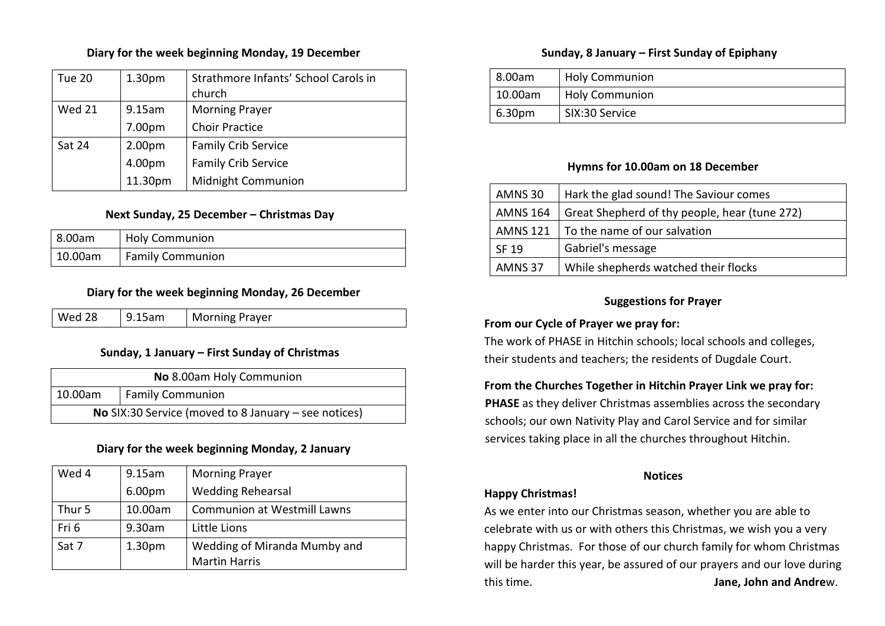#### **Diary for the week beginning Monday, 19 December**

| <b>Tue 20</b> | 1.30 <sub>pm</sub> | Strathmore Infants' School Carols in |
|---------------|--------------------|--------------------------------------|
|               |                    | church                               |
| <b>Wed 21</b> | 9.15am             | <b>Morning Prayer</b>                |
|               | 7.00pm             | <b>Choir Practice</b>                |
| <b>Sat 24</b> | 2.00 <sub>pm</sub> | <b>Family Crib Service</b>           |
|               | 4.00pm             | <b>Family Crib Service</b>           |
|               | 11.30pm            | Midnight Communion                   |

### **Next Sunday, 25 December – Christmas Day**

| 8.00am         | <b>Holy Communion</b>   |  |
|----------------|-------------------------|--|
| $\pm 10.00$ am | <b>Family Communion</b> |  |

#### **Diary for the week beginning Monday, 26 December**

| Wed 28<br>9.15am | <b>Morning Prayer</b> |
|------------------|-----------------------|
|------------------|-----------------------|

## **Sunday, 1 January – First Sunday of Christmas**

| No 8.00am Holy Communion                                      |  |
|---------------------------------------------------------------|--|
| Family Communion<br>10.00am                                   |  |
| <b>No</b> SIX:30 Service (moved to 8 January $-$ see notices) |  |

## **Diary for the week beginning Monday, 2 January**

| Wed 4  | 9.15am             | <b>Morning Prayer</b>              |
|--------|--------------------|------------------------------------|
|        | 6.00pm             | <b>Wedding Rehearsal</b>           |
| Thur 5 | 10.00am            | <b>Communion at Westmill Lawns</b> |
| Fri 6  | 9.30am             | Little Lions                       |
| Sat 7  | 1.30 <sub>pm</sub> | Wedding of Miranda Mumby and       |
|        |                    | <b>Martin Harris</b>               |

## **Sunday, 8 January – First Sunday of Epiphany**

| 8.00am  | <b>Holy Communion</b> |
|---------|-----------------------|
| 10.00am | <b>Holy Communion</b> |
| 6.30pm  | SIX:30 Service        |

### **Hymns for 10.00am on 18 December**

| <b>AMNS 30</b>     | Hark the glad sound! The Saviour comes        |
|--------------------|-----------------------------------------------|
| <b>AMNS 164</b>    | Great Shepherd of thy people, hear (tune 272) |
| AMNS 121           | To the name of our salvation                  |
| SF 19              | Gabriel's message                             |
| AMNS <sub>37</sub> | While shepherds watched their flocks          |

## **Suggestions for Prayer**

## **From our Cycle of Prayer we pray for:**

The work of PHASE in Hitchin schools; local schools and colleges, their students and teachers; the residents of Dugdale Court.

## **From the Churches Together in Hitchin Prayer Link we pray for:**

**PHASE** as they deliver Christmas assemblies across the secondary schools; our own Nativity Play and Carol Service and for similar services taking place in all the churches throughout Hitchin.

#### **Notices**

## **Happy Christmas!**

As we enter into our Christmas season, whether you are able to celebrate with us or with others this Christmas, we wish you a very happy Christmas. For those of our church family for whom Christmas will be harder this year, be assured of our prayers and our love during this time. **Jane, John and Andre**w.